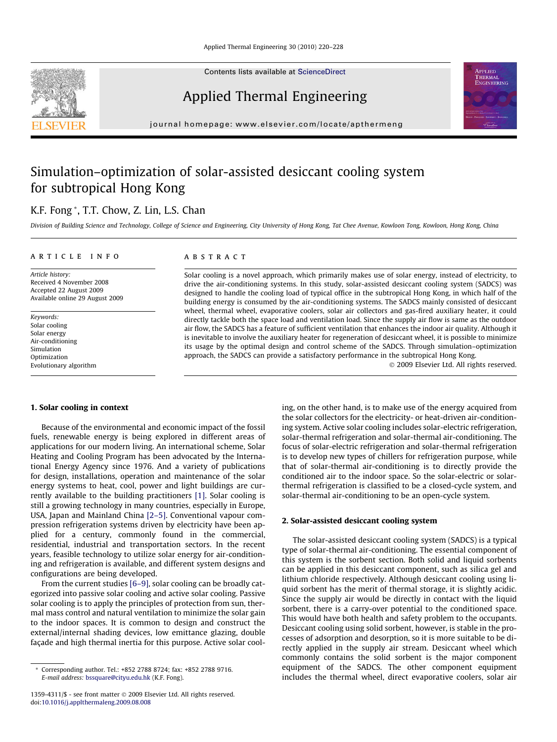Contents lists available at [ScienceDirect](http://www.sciencedirect.com/science/journal/13594311)

### Applied Thermal Engineering

journal homepage: [www.elsevier.com/locate/apthermeng](http://www.elsevier.com/locate/apthermeng)

## Simulation–optimization of solar-assisted desiccant cooling system for subtropical Hong Kong

### K.F. Fong \*, T.T. Chow, Z. Lin, L.S. Chan

Division of Building Science and Technology, College of Science and Engineering, City University of Hong Kong, Tat Chee Avenue, Kowloon Tong, Kowloon, Hong Kong, China

#### article info

Article history: Received 4 November 2008 Accepted 22 August 2009 Available online 29 August 2009

1. Solar cooling in context

Keywords: Solar cooling Solar energy Air-conditioning Simulation Optimization Evolutionary algorithm

#### ABSTRACT

Solar cooling is a novel approach, which primarily makes use of solar energy, instead of electricity, to drive the air-conditioning systems. In this study, solar-assisted desiccant cooling system (SADCS) was designed to handle the cooling load of typical office in the subtropical Hong Kong, in which half of the building energy is consumed by the air-conditioning systems. The SADCS mainly consisted of desiccant wheel, thermal wheel, evaporative coolers, solar air collectors and gas-fired auxiliary heater, it could directly tackle both the space load and ventilation load. Since the supply air flow is same as the outdoor air flow, the SADCS has a feature of sufficient ventilation that enhances the indoor air quality. Although it is inevitable to involve the auxiliary heater for regeneration of desiccant wheel, it is possible to minimize its usage by the optimal design and control scheme of the SADCS. Through simulation–optimization approach, the SADCS can provide a satisfactory performance in the subtropical Hong Kong.

- 2009 Elsevier Ltd. All rights reserved.

Because of the environmental and economic impact of the fossil fuels, renewable energy is being explored in different areas of applications for our modern living. An international scheme, Solar Heating and Cooling Program has been advocated by the International Energy Agency since 1976. And a variety of publications for design, installations, operation and maintenance of the solar energy systems to heat, cool, power and light buildings are currently available to the building practitioners [\[1\]](#page--1-0). Solar cooling is still a growing technology in many countries, especially in Europe, USA, Japan and Mainland China [\[2–5\]](#page--1-0). Conventional vapour compression refrigeration systems driven by electricity have been applied for a century, commonly found in the commercial, residential, industrial and transportation sectors. In the recent years, feasible technology to utilize solar energy for air-conditioning and refrigeration is available, and different system designs and configurations are being developed.

From the current studies [\[6–9\],](#page--1-0) solar cooling can be broadly categorized into passive solar cooling and active solar cooling. Passive solar cooling is to apply the principles of protection from sun, thermal mass control and natural ventilation to minimize the solar gain to the indoor spaces. It is common to design and construct the external/internal shading devices, low emittance glazing, double façade and high thermal inertia for this purpose. Active solar cooling, on the other hand, is to make use of the energy acquired from the solar collectors for the electricity- or heat-driven air-conditioning system. Active solar cooling includes solar-electric refrigeration, solar-thermal refrigeration and solar-thermal air-conditioning. The focus of solar-electric refrigeration and solar-thermal refrigeration is to develop new types of chillers for refrigeration purpose, while that of solar-thermal air-conditioning is to directly provide the conditioned air to the indoor space. So the solar-electric or solarthermal refrigeration is classified to be a closed-cycle system, and solar-thermal air-conditioning to be an open-cycle system.

#### 2. Solar-assisted desiccant cooling system

The solar-assisted desiccant cooling system (SADCS) is a typical type of solar-thermal air-conditioning. The essential component of this system is the sorbent section. Both solid and liquid sorbents can be applied in this desiccant component, such as silica gel and lithium chloride respectively. Although desiccant cooling using liquid sorbent has the merit of thermal storage, it is slightly acidic. Since the supply air would be directly in contact with the liquid sorbent, there is a carry-over potential to the conditioned space. This would have both health and safety problem to the occupants. Desiccant cooling using solid sorbent, however, is stable in the processes of adsorption and desorption, so it is more suitable to be directly applied in the supply air stream. Desiccant wheel which commonly contains the solid sorbent is the major component equipment of the SADCS. The other component equipment includes the thermal wheel, direct evaporative coolers, solar air





<sup>\*</sup> Corresponding author. Tel.: +852 2788 8724; fax: +852 2788 9716. E-mail address: [bssquare@cityu.edu.hk](mailto:bssquare@cityu.edu.hk) (K.F. Fong).

<sup>1359-4311/\$ -</sup> see front matter @ 2009 Elsevier Ltd. All rights reserved. doi:[10.1016/j.applthermaleng.2009.08.008](http://dx.doi.org/10.1016/j.applthermaleng.2009.08.008)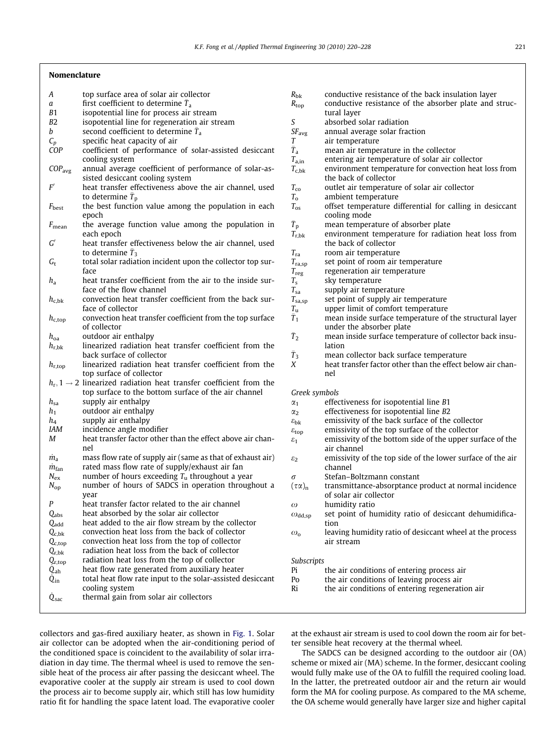#### Nomenclature

| Α                   | top surface area of solar air collector                                           | $R_{\rm bk}$            | conductive resistance of the back insulation layer                       |
|---------------------|-----------------------------------------------------------------------------------|-------------------------|--------------------------------------------------------------------------|
| a                   | first coefficient to determine $\bar{T}_a$                                        | $R_{\rm top}$           | conductive resistance of the absorber plate and struc-                   |
| B1                  | isopotential line for process air stream                                          |                         | tural layer                                                              |
| B2                  | isopotential line for regeneration air stream                                     | S                       | absorbed solar radiation                                                 |
| b                   | second coefficient to determine $T_a$                                             | $SF_{avg}$              | annual average solar fraction                                            |
| $\mathcal{C}_p$     | specific heat capacity of air                                                     | T                       | air temperature                                                          |
| COP                 | coefficient of performance of solar-assisted desiccant                            | $\bar{T}_{\rm a}$       | mean air temperature in the collector                                    |
|                     | cooling system                                                                    | $T_{a,in}$              | entering air temperature of solar air collector                          |
| $COP_{avg}$         | annual average coefficient of performance of solar-as-                            | $T_{c, bk}$             | environment temperature for convection heat loss from                    |
|                     | sisted desiccant cooling system                                                   |                         | the back of collector                                                    |
| F′                  | heat transfer effectiveness above the air channel, used                           | $T_{\rm co}$            | outlet air temperature of solar air collector                            |
|                     |                                                                                   |                         |                                                                          |
|                     | to determine $\bar{T}_p$                                                          | $T_{\rm o}$             | ambient temperature                                                      |
| $F_{\text{best}}$   | the best function value among the population in each<br>epoch                     | $T_{\rm os}$            | offset temperature differential for calling in desiccant<br>cooling mode |
| $F_{\rm mean}$      | the average function value among the population in                                | $\bar{T}_{\text{p}}$    | mean temperature of absorber plate                                       |
|                     | each epoch                                                                        | $T_{\rm r, bk}$         | environment temperature for radiation heat loss from                     |
| $G^{\prime}$        | heat transfer effectiveness below the air channel, used                           |                         | the back of collector                                                    |
|                     | to determine $\bar{T}_3$                                                          | $T_{\rm ra}$            | room air temperature                                                     |
| $G_{t}$             | total solar radiation incident upon the collector top sur-                        | $T_{\rm ra,sp}$         | set point of room air temperature                                        |
|                     | face                                                                              | $T_{\rm reg}$           | regeneration air temperature                                             |
| $h_{\rm a}$         | heat transfer coefficient from the air to the inside sur-                         | $T_{\rm s}$             | sky temperature                                                          |
|                     | face of the flow channel                                                          | $T_{\rm sa}$            | supply air temperature                                                   |
| $h_{\rm c,bk}$      | convection heat transfer coefficient from the back sur-                           | $T_{\rm sa,sp}$         | set point of supply air temperature                                      |
|                     | face of collector                                                                 | $T_{\rm u}$             | upper limit of comfort temperature                                       |
| $h_{c,\text{top}}$  | convection heat transfer coefficient from the top surface                         | $\bar{T}_1$             | mean inside surface temperature of the structural layer                  |
|                     | of collector                                                                      |                         | under the absorber plate                                                 |
| $h_{oa}$            | outdoor air enthalpy                                                              | $\bar{T}_2$             | mean inside surface temperature of collector back insu-                  |
| $h_{\rm r,bk}$      | linearized radiation heat transfer coefficient from the                           |                         | lation                                                                   |
|                     | back surface of collector                                                         | $\bar{T}_3$             | mean collector back surface temperature                                  |
| $h_{\rm r,top}$     | linearized radiation heat transfer coefficient from the                           | X                       | heat transfer factor other than the effect below air chan-               |
|                     | top surface of collector                                                          |                         | nel                                                                      |
|                     | $h_r$ , 1 $\rightarrow$ 2 linearized radiation heat transfer coefficient from the |                         |                                                                          |
|                     | top surface to the bottom surface of the air channel                              | Greek symbols           |                                                                          |
|                     |                                                                                   |                         |                                                                          |
| $h_{\rm sa}$        | supply air enthalpy                                                               | $\alpha_1$              | effectiveness for isopotential line B1                                   |
| $h_1$               | outdoor air enthalpy                                                              | $\alpha_2$              | effectiveness for isopotential line B2                                   |
| $h_4$               | supply air enthalpy                                                               | $\varepsilon_{\rm bk}$  | emissivity of the back surface of the collector                          |
| IAM                 | incidence angle modifier                                                          | $\varepsilon_{\rm top}$ | emissivity of the top surface of the collector                           |
| М                   | heat transfer factor other than the effect above air chan-                        | $\varepsilon_1$         | emissivity of the bottom side of the upper surface of the                |
|                     | nel                                                                               |                         | air channel                                                              |
| $\dot{m}_a$         | mass flow rate of supply air (same as that of exhaust air)                        | $\mathcal{E}_2$         | emissivity of the top side of the lower surface of the air               |
| $\dot{m}_{\rm fan}$ | rated mass flow rate of supply/exhaust air fan                                    |                         | channel                                                                  |
| $N_{\rm ex}$        | number of hours exceeding $T_u$ throughout a year                                 | σ                       | Stefan-Boltzmann constant                                                |
| $N_{op}$            | number of hours of SADCS in operation throughout a                                | $(\tau\alpha)_n$        | transmittance-absorptance product at normal incidence                    |
| P                   | year<br>heat transfer factor related to the air channel                           |                         | of solar air collector                                                   |
|                     |                                                                                   | $\omega$                | humidity ratio                                                           |
| $Q_{\rm abs}$       | heat absorbed by the solar air collector                                          | $\omega_{\rm dd, sp}$   | set point of humidity ratio of desiccant dehumidifica-                   |
| $Q_{add}$           | heat added to the air flow stream by the collector                                |                         | tion                                                                     |
| $Q_{c, bk}$         | convection heat loss from the back of collector                                   | $\omega_{\rm o}$        | leaving humidity ratio of desiccant wheel at the process                 |
| $Q_{c,\text{top}}$  | convection heat loss from the top of collector                                    |                         | air stream                                                               |
| $Q_{\rm r,bk}$      | radiation heat loss from the back of collector                                    |                         |                                                                          |
| $Q_{r,\text{top}}$  | radiation heat loss from the top of collector                                     | <b>Subscripts</b>       |                                                                          |
| $Q_{ab}$            | heat flow rate generated from auxiliary heater                                    | Pi                      | the air conditions of entering process air                               |
| $\dot{Q}_{in}$      | total heat flow rate input to the solar-assisted desiccant                        | Po                      | the air conditions of leaving process air                                |
|                     | cooling system                                                                    | Ri                      | the air conditions of entering regeneration air                          |
| Q <sub>sac</sub>    | thermal gain from solar air collectors                                            |                         |                                                                          |
|                     |                                                                                   |                         |                                                                          |

collectors and gas-fired auxiliary heater, as shown in [Fig. 1.](#page--1-0) Solar air collector can be adopted when the air-conditioning period of the conditioned space is coincident to the availability of solar irradiation in day time. The thermal wheel is used to remove the sensible heat of the process air after passing the desiccant wheel. The evaporative cooler at the supply air stream is used to cool down the process air to become supply air, which still has low humidity ratio fit for handling the space latent load. The evaporative cooler

at the exhaust air stream is used to cool down the room air for better sensible heat recovery at the thermal wheel.

The SADCS can be designed according to the outdoor air (OA) scheme or mixed air (MA) scheme. In the former, desiccant cooling would fully make use of the OA to fulfill the required cooling load. In the latter, the pretreated outdoor air and the return air would form the MA for cooling purpose. As compared to the MA scheme, the OA scheme would generally have larger size and higher capital